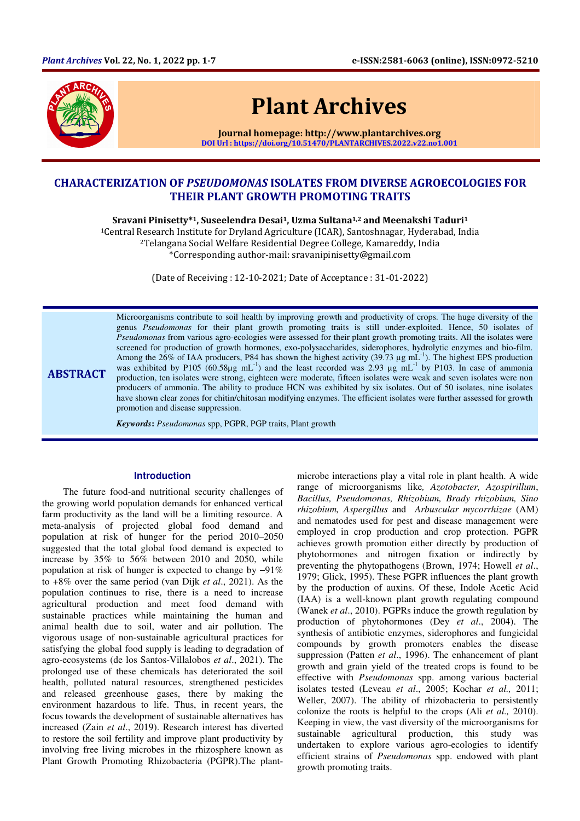

# Plant Archives

Journal homepage: http://www.plantarchives.org DOI Url : https://doi.org/10.51470/PLANTARCHIVES.2022.v22.no1.001

# CHARACTERIZATION OF PSEUDOMONAS ISOLATES FROM DIVERSE AGROECOLOGIES FOR THEIR PLANT GROWTH PROMOTING TRAITS

Sravani Pinisetty\*1, Suseelendra Desai1, Uzma Sultana1,2 and Meenakshi Taduri<sup>1</sup>

<sup>1</sup>Central Research Institute for Dryland Agriculture (ICAR), Santoshnagar, Hyderabad, India <sup>2</sup>Telangana Social Welfare Residential Degree College, Kamareddy, India \*Corresponding author-mail: sravanipinisetty@gmail.com

(Date of Receiving : 12-10-2021; Date of Acceptance : 31-01-2022)

ABSTRACT Microorganisms contribute to soil health by improving growth and productivity of crops. The huge diversity of the genus *Pseudomonas* for their plant growth promoting traits is still under-exploited. Hence, 50 isolates of *Pseudomonas* from various agro-ecologies were assessed for their plant growth promoting traits. All the isolates were screened for production of growth hormones, exo-polysaccharides, siderophores, hydrolytic enzymes and bio-film. Among the  $26\%$  of IAA producers, P84 has shown the highest activity (39.73  $\mu$ g mL<sup>-1</sup>). The highest EPS production was exhibited by P105 (60.58 $\mu$ g mL<sup>-1</sup>) and the least recorded was 2.93  $\mu$ g mL<sup>-1</sup> by P103. In case of ammonia production, ten isolates were strong, eighteen were moderate, fifteen isolates were weak and seven isolates were non producers of ammonia. The ability to produce HCN was exhibited by six isolates. Out of 50 isolates, nine isolates have shown clear zones for chitin/chitosan modifying enzymes. The efficient isolates were further assessed for growth promotion and disease suppression.

*Keywords***:** *Pseudomonas* spp, PGPR, PGP traits, Plant growth

#### **Introduction**

The future food-and nutritional security challenges of the growing world population demands for enhanced vertical farm productivity as the land will be a limiting resource. A meta-analysis of projected global food demand and population at risk of hunger for the period 2010–2050 suggested that the total global food demand is expected to increase by 35% to 56% between 2010 and 2050, while population at risk of hunger is expected to change by −91% to +8% over the same period (van Dijk *et al*., 2021). As the population continues to rise, there is a need to increase agricultural production and meet food demand with sustainable practices while maintaining the human and animal health due to soil, water and air pollution. The vigorous usage of non-sustainable agricultural practices for satisfying the global food supply is leading to degradation of agro-ecosystems (de los Santos-Villalobos *et al*., 2021). The prolonged use of these chemicals has deteriorated the soil health, polluted natural resources, strengthened pesticides and released greenhouse gases, there by making the environment hazardous to life. Thus, in recent years, the focus towards the development of sustainable alternatives has increased (Zain *et al*., 2019). Research interest has diverted to restore the soil fertility and improve plant productivity by involving free living microbes in the rhizosphere known as Plant Growth Promoting Rhizobacteria (PGPR).The plant-

microbe interactions play a vital role in plant health. A wide range of microorganisms like*, Azotobacter, Azospirillum*, *Bacillus, Pseudomonas, Rhizobium, Brady rhizobium, Sino rhizobium, Aspergillus* and *Arbuscular mycorrhizae* (AM) and nematodes used for pest and disease management were employed in crop production and crop protection. PGPR achieves growth promotion either directly by production of phytohormones and nitrogen fixation or indirectly by preventing the phytopathogens (Brown, 1974; Howell *et al*., 1979; Glick, 1995). These PGPR influences the plant growth by the production of auxins. Of these, Indole Acetic Acid (IAA) is a well-known plant growth regulating compound (Wanek *et al*., 2010). PGPRs induce the growth regulation by production of phytohormones (Dey *et al*., 2004). The synthesis of antibiotic enzymes, siderophores and fungicidal compounds by growth promoters enables the disease suppression (Patten *et al*., 1996). The enhancement of plant growth and grain yield of the treated crops is found to be effective with *Pseudomonas* spp. among various bacterial isolates tested (Leveau *et al*., 2005; Kochar *et al.,* 2011; Weller, 2007). The ability of rhizobacteria to persistently colonize the roots is helpful to the crops (Ali *et al.,* 2010). Keeping in view, the vast diversity of the microorganisms for sustainable agricultural production, this study was undertaken to explore various agro-ecologies to identify efficient strains of *Pseudomonas* spp. endowed with plant growth promoting traits.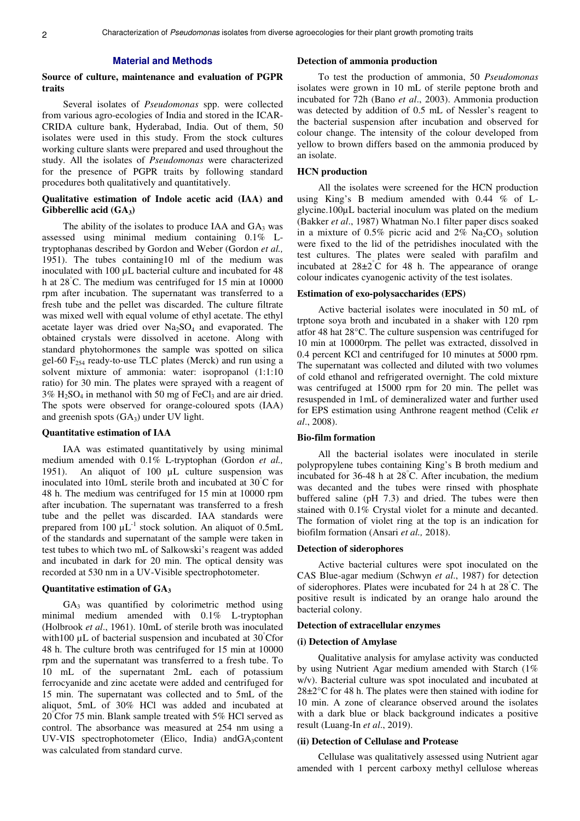#### **Material and Methods**

#### **Source of culture, maintenance and evaluation of PGPR traits**

Several isolates of *Pseudomonas* spp. were collected from various agro-ecologies of India and stored in the ICAR-CRIDA culture bank, Hyderabad, India. Out of them, 50 isolates were used in this study. From the stock cultures working culture slants were prepared and used throughout the study. All the isolates of *Pseudomonas* were characterized for the presence of PGPR traits by following standard procedures both qualitatively and quantitatively.

#### **Qualitative estimation of Indole acetic acid (IAA) and Gibberellic acid (GA3)**

The ability of the isolates to produce IAA and  $GA_3$  was assessed using minimal medium containing 0.1% Ltryptophanas described by Gordon and Weber (Gordon *et al.,* 1951). The tubes containing10 ml of the medium was inoculated with 100  $\mu$ L bacterial culture and incubated for 48 h at 28°C. The medium was centrifuged for 15 min at 10000 rpm after incubation. The supernatant was transferred to a fresh tube and the pellet was discarded. The culture filtrate was mixed well with equal volume of ethyl acetate. The ethyl acetate layer was dried over  $Na<sub>2</sub>SO<sub>4</sub>$  and evaporated. The obtained crystals were dissolved in acetone. Along with standard phytohormones the sample was spotted on silica gel-60  $F_{254}$  ready-to-use TLC plates (Merck) and run using a solvent mixture of ammonia: water: isopropanol (1:1:10 ratio) for 30 min. The plates were sprayed with a reagent of  $3\%$  H<sub>2</sub>SO<sub>4</sub> in methanol with 50 mg of FeCl<sub>3</sub> and are air dried. The spots were observed for orange-coloured spots (IAA) and greenish spots  $(GA<sub>3</sub>)$  under UV light.

#### **Quantitative estimation of IAA**

IAA was estimated quantitatively by using minimal medium amended with 0.1% L-tryptophan (Gordon *et al.,* 1951). An aliquot of 100 µL culture suspension was inoculated into 10mL sterile broth and incubated at 30°C for 48 h. The medium was centrifuged for 15 min at 10000 rpm after incubation. The supernatant was transferred to a fresh tube and the pellet was discarded. IAA standards were prepared from 100  $\mu L^{-1}$  stock solution. An aliquot of 0.5mL of the standards and supernatant of the sample were taken in test tubes to which two mL of Salkowski's reagent was added and incubated in dark for 20 min. The optical density was recorded at 530 nm in a UV-Visible spectrophotometer.

#### **Quantitative estimation of GA<sup>3</sup>**

 $GA<sub>3</sub>$  was quantified by colorimetric method using minimal medium amended with 0.1% L-tryptophan (Holbrook *et al*., 1961). 10mL of sterile broth was inoculated with 100  $\mu$ L of bacterial suspension and incubated at 30 Cfor 48 h. The culture broth was centrifuged for 15 min at 10000 rpm and the supernatant was transferred to a fresh tube. To 10 mL of the supernatant 2mL each of potassium ferrocyanide and zinc acetate were added and centrifuged for 15 min. The supernatant was collected and to 5mL of the aliquot, 5mL of 30% HCl was added and incubated at 20°Cfor 75 min. Blank sample treated with 5% HCl served as control. The absorbance was measured at 254 nm using a UV-VIS spectrophotometer (Elico, India) and  $GA_3$ content was calculated from standard curve.

#### **Detection of ammonia production**

To test the production of ammonia, 50 *Pseudomonas*  isolates were grown in 10 mL of sterile peptone broth and incubated for 72h (Bano *et al*., 2003). Ammonia production was detected by addition of 0.5 mL of Nessler's reagent to the bacterial suspension after incubation and observed for colour change. The intensity of the colour developed from yellow to brown differs based on the ammonia produced by an isolate.

### **HCN production**

All the isolates were screened for the HCN production using King's B medium amended with 0.44 % of Lglycine.100µL bacterial inoculum was plated on the medium (Bakker *et al*., 1987) Whatman No.1 filter paper discs soaked in a mixture of 0.5% picric acid and  $2\%$  Na<sub>2</sub>CO<sub>3</sub> solution were fixed to the lid of the petridishes inoculated with the test cultures. The plates were sealed with parafilm and incubated at  $28\pm2^{\circ}$ C for 48 h. The appearance of orange colour indicates cyanogenic activity of the test isolates.

#### **Estimation of exo-polysaccharides (EPS)**

Active bacterial isolates were inoculated in 50 mL of trptone soya broth and incubated in a shaker with 120 rpm atfor 48 hat 28°C. The culture suspension was centrifuged for 10 min at 10000rpm. The pellet was extracted, dissolved in 0.4 percent KCl and centrifuged for 10 minutes at 5000 rpm. The supernatant was collected and diluted with two volumes of cold ethanol and refrigerated overnight. The cold mixture was centrifuged at 15000 rpm for 20 min. The pellet was resuspended in 1mL of demineralized water and further used for EPS estimation using Anthrone reagent method (Celik *et al*., 2008).

#### **Bio-film formation**

All the bacterial isolates were inoculated in sterile polypropylene tubes containing King's B broth medium and incubated for 36-48 h at 28°C. After incubation, the medium was decanted and the tubes were rinsed with phosphate buffered saline (pH 7.3) and dried. The tubes were then stained with 0.1% Crystal violet for a minute and decanted. The formation of violet ring at the top is an indication for biofilm formation (Ansari *et al.,* 2018).

#### **Detection of siderophores**

Active bacterial cultures were spot inoculated on the CAS Blue-agar medium (Schwyn *et al*., 1987) for detection of siderophores. Plates were incubated for 24 h at 28°C. The positive result is indicated by an orange halo around the bacterial colony.

#### **Detection of extracellular enzymes**

#### **(i) Detection of Amylase**

Qualitative analysis for amylase activity was conducted by using Nutrient Agar medium amended with Starch (1% w/v). Bacterial culture was spot inoculated and incubated at  $28\pm2\degree$ C for 48 h. The plates were then stained with iodine for 10 min. A zone of clearance observed around the isolates with a dark blue or black background indicates a positive result (Luang-In *et al*., 2019).

#### **(ii) Detection of Cellulase and Protease**

Cellulase was qualitatively assessed using Nutrient agar amended with 1 percent carboxy methyl cellulose whereas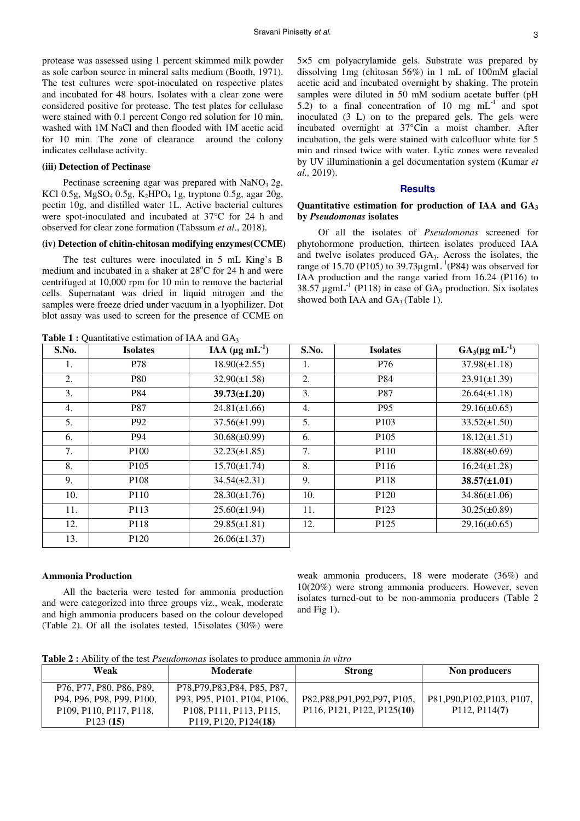protease was assessed using 1 percent skimmed milk powder as sole carbon source in mineral salts medium (Booth, 1971). The test cultures were spot-inoculated on respective plates and incubated for 48 hours. Isolates with a clear zone were considered positive for protease. The test plates for cellulase were stained with 0.1 percent Congo red solution for 10 min, washed with 1M NaCl and then flooded with 1M acetic acid for 10 min. The zone of clearance around the colony indicates cellulase activity.

#### **(iii) Detection of Pectinase**

Pectinase screening agar was prepared with  $NaNO<sub>3</sub> 2g$ , KCl 0.5g, MgSO<sub>4</sub> 0.5g, K<sub>2</sub>HPO<sub>4</sub> 1g, tryptone 0.5g, agar 20g, pectin 10g, and distilled water 1L. Active bacterial cultures were spot-inoculated and incubated at 37°C for 24 h and observed for clear zone formation (Tabssum *et al*., 2018).

#### **(iv) Detection of chitin-chitosan modifying enzymes(CCME)**

The test cultures were inoculated in 5 mL King's B medium and incubated in a shaker at  $28^{\circ}$ C for 24 h and were centrifuged at 10,000 rpm for 10 min to remove the bacterial cells. Supernatant was dried in liquid nitrogen and the samples were freeze dried under vacuum in a lyophilizer. Dot blot assay was used to screen for the presence of CCME on

**Table 1 :** Quantitative estimation of IAA and GA

5×5 cm polyacrylamide gels. Substrate was prepared by dissolving 1mg (chitosan 56%) in 1 mL of 100mM glacial acetic acid and incubated overnight by shaking. The protein samples were diluted in 50 mM sodium acetate buffer (pH 5.2) to a final concentration of 10 mg  $mL^{-1}$  and spot inoculated (3 L) on to the prepared gels. The gels were incubated overnight at 37°Cin a moist chamber. After incubation, the gels were stained with calcofluor white for 5 min and rinsed twice with water. Lytic zones were revealed by UV illuminationin a gel documentation system (Kumar *et al.,* 2019).

#### **Results**

#### **Quantitative estimation for production of IAA and GA<sup>3</sup> by** *Pseudomonas* **isolates**

Of all the isolates of *Pseudomonas* screened for phytohormone production, thirteen isolates produced IAA and twelve isolates produced GA3. Across the isolates, the range of 15.70 (P105) to 39.73 $\mu$ gmL<sup>-1</sup>(P84) was observed for IAA production and the range varied from 16.24 (P116) to 38.57  $\mu$ gmL<sup>-1</sup> (P118) in case of GA<sub>3</sub> production. Six isolates showed both IAA and  $GA_3$  (Table 1).

| S.No.<br><b>Isolates</b> |                  | IAA $(\mu g \, mL^{-1})$ | S.No.            | <b>Isolates</b>  | $GA_3(\mu g \text{ mL}^{-1})$ |  |
|--------------------------|------------------|--------------------------|------------------|------------------|-------------------------------|--|
| 1.                       | P78              | $18.90(\pm 2.55)$        | 1.               | P76              | $37.98(\pm 1.18)$             |  |
| 2.                       | <b>P80</b>       | $32.90(\pm 1.58)$        | 2.               | P84              | $23.91(\pm 1.39)$             |  |
| 3.                       | P84              | $39.73(\pm 1.20)$        | 3.               | P87              | $26.64(\pm 1.18)$             |  |
| 4.                       | P87              | $24.81(\pm 1.66)$        | $\overline{4}$ . | P95              | $29.16(\pm 0.65)$             |  |
| 5.                       | P92              | $37.56(\pm 1.99)$        | 5.               | P <sub>103</sub> | $33.52(\pm 1.50)$             |  |
| 6.                       | P94              | $30.68(\pm 0.99)$        | 6.               | P <sub>105</sub> | $18.12(\pm 1.51)$             |  |
| 7.                       | P <sub>100</sub> | $32.23(\pm 1.85)$        | 7.               | P110             | $18.88(\pm 0.69)$             |  |
| 8.                       | P <sub>105</sub> | $15.70(\pm 1.74)$        |                  | P116             | $16.24(\pm 1.28)$             |  |
| 9.                       | P <sub>108</sub> | $34.54(\pm 2.31)$        | 9.               | P118             | $38.57(\pm 1.01)$             |  |
| 10.                      | P <sub>110</sub> | $28.30(\pm 1.76)$        | 10.              | P <sub>120</sub> | $34.86(\pm1.06)$              |  |
| 11.                      | P113             | $25.60(\pm 1.94)$<br>11. |                  | P <sub>123</sub> | $30.25(\pm 0.89)$             |  |
| 12.                      | P118             | $29.85(\pm 1.81)$        | 12.              | P <sub>125</sub> | $29.16(\pm 0.65)$             |  |
| 13.                      | P <sub>120</sub> | $26.06(\pm 1.37)$        |                  |                  |                               |  |

#### **Ammonia Production**

All the bacteria were tested for ammonia production and were categorized into three groups viz., weak, moderate and high ammonia producers based on the colour developed (Table 2). Of all the isolates tested, 15isolates (30%) were

weak ammonia producers, 18 were moderate (36%) and 10(20%) were strong ammonia producers. However, seven isolates turned-out to be non-ammonia producers (Table 2 and Fig 1).

**Table 2 :** Ability of the test *Pseudomonas* isolates to produce ammonia *in vitro*

| Weak                                                                        | <b>Moderate</b>                                                             | <b>Strong</b>                  | Non producers               |
|-----------------------------------------------------------------------------|-----------------------------------------------------------------------------|--------------------------------|-----------------------------|
| P76, P77, P80, P86, P89,                                                    | P78, P79, P83, P84, P85, P87,                                               |                                |                             |
| P94, P96, P98, P99, P100,                                                   | P93, P95, P101, P104, P106,                                                 | P82, P88, P91, P92, P97, P105, | P81, P90, P102, P103, P107, |
| P <sub>109</sub> , P <sub>110</sub> , P <sub>117</sub> , P <sub>118</sub> , | P <sub>108</sub> , P <sub>111</sub> , P <sub>113</sub> , P <sub>115</sub> , | P116, P121, P122, P125(10)     | P112, P114(7)               |
| P123(15)                                                                    | P <sub>119</sub> , P <sub>120</sub> , P <sub>124</sub> (18)                 |                                |                             |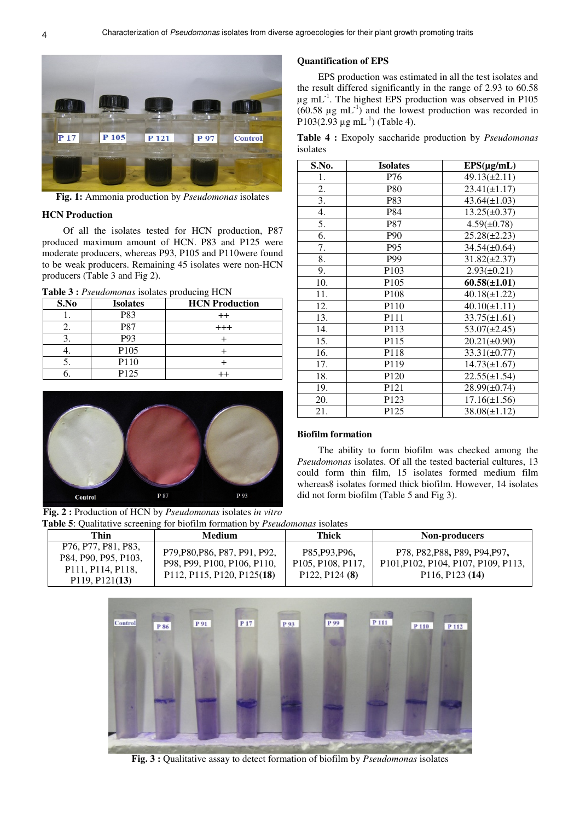

**Fig. 1:** Ammonia production by *Pseudomonas* isolates

#### **HCN Production**

Of all the isolates tested for HCN production, P87 produced maximum amount of HCN. P83 and P125 were moderate producers, whereas P93, P105 and P110were found to be weak producers. Remaining 45 isolates were non-HCN producers (Table 3 and Fig 2).

**Table 3 :** *Pseudomonas* isolates producing HCN

| S.No | <b>Isolates</b>  | <b>HCN</b> Production |
|------|------------------|-----------------------|
|      | P83              | $++$                  |
|      | P87              | $^{+++}$              |
|      | P93              |                       |
|      | P105             |                       |
|      | P110             |                       |
|      | P <sub>125</sub> |                       |

# P 93 P 87 Control

**Fig. 2 :** Production of HCN by *Pseudomonas* isolates *in vitro*  **Table 5**: Qualitative screening for biofilm formation by *Pseudomonas* isolates

# **Quantification of EPS**

EPS production was estimated in all the test isolates and the result differed significantly in the range of 2.93 to 60.58  $\mu$ g mL<sup>-1</sup>. The highest EPS production was observed in P105  $(60.58 \mu g \text{ mL}^{-1})$  and the lowest production was recorded in P103(2.93  $\mu$ g mL<sup>-1</sup>) (Table 4).

**Table 4 :** Exopoly saccharide production by *Pseudomonas* isolates

| S.No. | <b>Isolates</b>  | $EPS(\mu g/mL)$   |
|-------|------------------|-------------------|
| 1.    | P76              | $49.13(\pm 2.11)$ |
| 2.    | <b>P80</b>       | $23.41(\pm 1.17)$ |
| 3.    | P83              | $43.64(\pm 1.03)$ |
| 4.    | P84              | $13.25(\pm 0.37)$ |
| 5.    | P87              | $4.59(\pm 0.78)$  |
| 6.    | P90              | $25.28(\pm 2.23)$ |
| 7.    | P95              | $34.54(\pm 0.64)$ |
| 8.    | P99              | $31.82(\pm 2.37)$ |
| 9.    | P <sub>103</sub> | $2.93(\pm 0.21)$  |
| 10.   | P <sub>105</sub> | $60.58(\pm 1.01)$ |
| 11.   | P <sub>108</sub> | $40.18(\pm 1.22)$ |
| 12.   | P110             | $40.10(\pm 1.11)$ |
| 13.   | P111             | $33.75(\pm 1.61)$ |
| 14.   | P113             | $53.07(\pm 2.45)$ |
| 15.   | P115             | $20.21(\pm 0.90)$ |
| 16.   | P118             | $33.31(\pm 0.77)$ |
| 17.   | P119             | $14.73(\pm 1.67)$ |
| 18.   | P <sub>120</sub> | $22.55(\pm 1.54)$ |
| 19.   | P121             | $28.99(\pm 0.74)$ |
| 20.   | P <sub>123</sub> | $17.16(\pm 1.56)$ |
| 21.   | P <sub>125</sub> | $38.08(\pm 1.12)$ |

# **Biofilm formation**

The ability to form biofilm was checked among the *Pseudomonas* isolates. Of all the tested bacterial cultures, 13 could form thin film, 15 isolates formed medium film whereas8 isolates formed thick biofilm. However, 14 isolates did not form biofilm (Table 5 and Fig 3).

| Thin                                                                                                                                                                          | <b>Medium</b>                                                                              | Thick                                                                                        | <b>Non-producers</b>                                                                                                                                                                           |  |  |  |
|-------------------------------------------------------------------------------------------------------------------------------------------------------------------------------|--------------------------------------------------------------------------------------------|----------------------------------------------------------------------------------------------|------------------------------------------------------------------------------------------------------------------------------------------------------------------------------------------------|--|--|--|
| P <sub>76</sub> , P <sub>77</sub> , P <sub>81</sub> , P <sub>83</sub> ,<br>P84, P90, P95, P103,<br>P <sub>111</sub> , P <sub>114</sub> , P <sub>118</sub> ,<br>P119, P121(13) | P79, P80, P86, P87, P91, P92,<br>P98, P99, P100, P106, P110,<br>P112, P115, P120, P125(18) | P85, P93, P96,<br>P <sub>105</sub> , P <sub>108</sub> , P <sub>117</sub> ,<br>P122, P124 (8) | P78, P82, P88, P89, P94, P97,<br>P <sub>101</sub> , P <sub>102</sub> , P <sub>104</sub> , P <sub>107</sub> , P <sub>109</sub> , P <sub>113</sub> ,<br>P <sub>116</sub> , P <sub>123</sub> (14) |  |  |  |



**Fig. 3 :** Qualitative assay to detect formation of biofilm by *Pseudomonas* isolates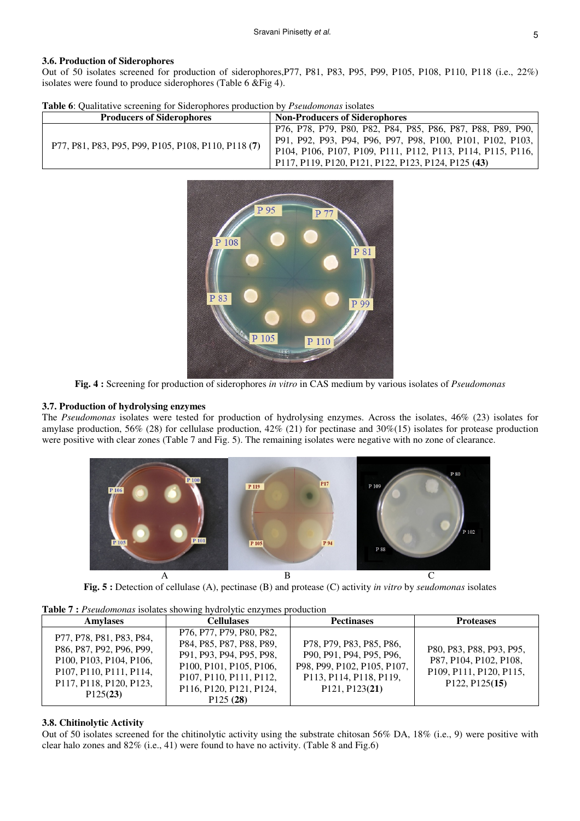#### **3.6. Production of Siderophores**

Out of 50 isolates screened for production of siderophores, P77, P81, P83, P95, P99, P105, P108, P110, P118 (i.e., 22%) isolates were found to produce siderophores (Table 6 &Fig 4).

|  |  | <b>Table 6:</b> Qualitative screening for Siderophores production by <i>Pseudomonas</i> isolates |  |
|--|--|--------------------------------------------------------------------------------------------------|--|
|--|--|--------------------------------------------------------------------------------------------------|--|

| <b>Producers of Siderophores</b>                    | <b>Non-Producers of Siderophores</b>                                                                                                                                                         |
|-----------------------------------------------------|----------------------------------------------------------------------------------------------------------------------------------------------------------------------------------------------|
| P77, P81, P83, P95, P99, P105, P108, P110, P118 (7) | ' P76, P78, P79, P80, P82, P84, P85, P86, P87, P88, P89, P90,  <br>P91, P92, P93, P94, P96, P97, P98, P100, P101, P102, P103,<br>P104, P106, P107, P109, P111, P112, P113, P114, P115, P116, |
|                                                     | P117, P119, P120, P121, P122, P123, P124, P125 (43)                                                                                                                                          |



**Fig. 4 :** Screening for production of siderophores *in vitro* in CAS medium by various isolates of *Pseudomonas*

#### **3.7. Production of hydrolysing enzymes**

The *Pseudomonas* isolates were tested for production of hydrolysing enzymes. Across the isolates, 46% (23) isolates for amylase production, 56% (28) for cellulase production, 42% (21) for pectinase and 30%(15) isolates for protease production were positive with clear zones (Table 7 and Fig. 5). The remaining isolates were negative with no zone of clearance.



**Fig. 5 :** Detection of cellulase (A), pectinase (B) and protease (C) activity *in vitro* by *seudomonas* isolates

**Table 7 :** *Pseudomonas* isolates showing hydrolytic enzymes production

| <b>Amylases</b>                                                                                                                                                                                       | <b>Cellulases</b>                                                                                                                                                                                                                 | <b>Pectinases</b>                                                                                                                                          | <b>Proteases</b>                                                                                                                                    |
|-------------------------------------------------------------------------------------------------------------------------------------------------------------------------------------------------------|-----------------------------------------------------------------------------------------------------------------------------------------------------------------------------------------------------------------------------------|------------------------------------------------------------------------------------------------------------------------------------------------------------|-----------------------------------------------------------------------------------------------------------------------------------------------------|
| P77, P78, P81, P83, P84,<br>P86, P87, P92, P96, P99,<br>P100, P103, P104, P106,<br>P <sub>107</sub> , P <sub>110</sub> , P <sub>111</sub> , P <sub>114</sub> ,<br>P117, P118, P120, P123,<br>P125(23) | P76, P77, P79, P80, P82,<br>P84, P85, P87, P88, P89,<br>P91, P93, P94, P95, P98,<br>P100, P101, P105, P106,<br>P <sub>107</sub> , P <sub>110</sub> , P <sub>111</sub> , P <sub>112</sub> ,<br>P116, P120, P121, P124,<br>P125(28) | P78, P79, P83, P85, P86,<br>P90, P91, P94, P95, P96,<br>P98, P99, P102, P105, P107,<br>P113, P114, P118, P119,<br>P <sub>121</sub> , P <sub>123</sub> (21) | P80, P83, P88, P93, P95,<br>P87, P104, P102, P108,<br>P <sub>109</sub> , P <sub>111</sub> , P <sub>120</sub> , P <sub>115</sub> ,<br>P122, P125(15) |

#### **3.8. Chitinolytic Activity**

Out of 50 isolates screened for the chitinolytic activity using the substrate chitosan 56% DA, 18% (i.e., 9) were positive with clear halo zones and 82% (i.e., 41) were found to have no activity. (Table 8 and Fig.6)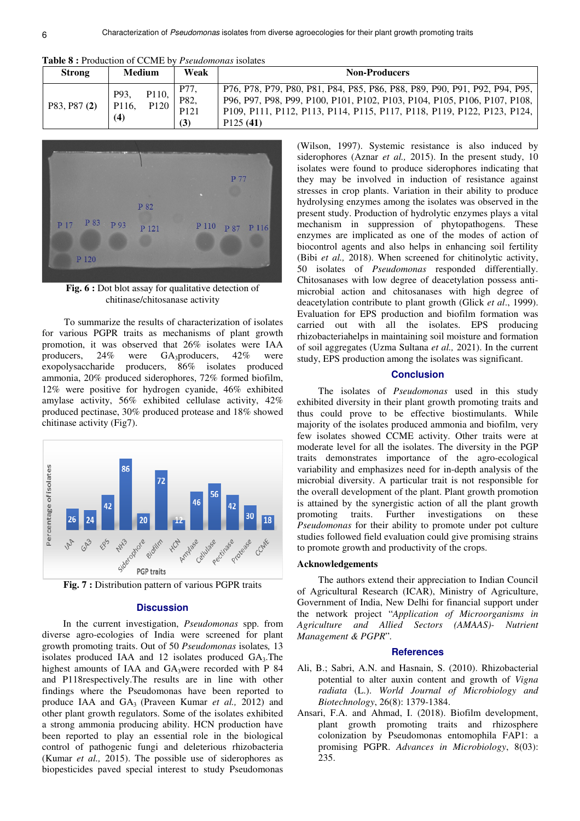| <b>Table 8:</b> Production of CCME by <i>Pseudomonas</i> isolates |  |
|-------------------------------------------------------------------|--|
|-------------------------------------------------------------------|--|

| <b>Strong</b> |                      | <b>Medium</b>                          | Weak                                    | <b>Non-Producers</b>                                                                                                                                                                                                                           |
|---------------|----------------------|----------------------------------------|-----------------------------------------|------------------------------------------------------------------------------------------------------------------------------------------------------------------------------------------------------------------------------------------------|
| P83, P87 (2)  | P93,<br>P116,<br>(4) | P <sub>110</sub> ,<br>P <sub>120</sub> | P77,<br>P82,<br>P <sub>121</sub><br>(3) | P76, P78, P79, P80, P81, P84, P85, P86, P88, P89, P90, P91, P92, P94, P95,<br>P96, P97, P98, P99, P100, P101, P102, P103, P104, P105, P106, P107, P108,<br>P109, P111, P112, P113, P114, P115, P117, P118, P119, P122, P123, P124,<br>P125(41) |



Fig. 6 : Dot blot assay for qualitative detection of chitinase/chitosanase activity

 To summarize the results of characterization of isolates for various PGPR traits as mechanisms of plant growth promotion, it was observed that 26% isolates were IAA producers,  $24\%$  were GA<sub>3</sub>producers,  $42\%$  were exopolysaccharide producers,  $86\%$  isolates produced producers, 86% isolates produced ammonia, 20% produced siderophores, 72% formed biofilm, 12% were positive for hydrogen cyanide, 46% exhibited amylase activity, 56% exhibited cellulase activity, 42% produced pectinase, 30% produced protease and 18% showed chitinase activity (Fig7).



**Fig. 7 :** Distribution pattern of various PGPR traits

#### **Discussion**

In the current investigation, *Pseudomonas* spp. from diverse agro-ecologies of India were screened for plant growth promoting traits. Out of 50 *Pseudomonas* isolates*,* 13 isolates produced IAA and 12 isolates produced GA3.The highest amounts of IAA and  $GA_3$ were recorded with P 84 and P118respectively.The results are in line with other findings where the Pseudomonas have been reported to produce IAA and GA3 (Praveen Kumar *et al.,* 2012) and other plant growth regulators. Some of the isolates exhibited a strong ammonia producing ability. HCN production have been reported to play an essential role in the biological control of pathogenic fungi and deleterious rhizobacteria (Kumar *et al.,* 2015). The possible use of siderophores as biopesticides paved special interest to study Pseudomonas

(Wilson, 1997). Systemic resistance is also induced by siderophores (Aznar *et al.,* 2015). In the present study, 10 isolates were found to produce siderophores indicating that they may be involved in induction of resistance against stresses in crop plants. Variation in their ability to produce hydrolysing enzymes among the isolates was observed in the present study. Production of hydrolytic enzymes plays a vital mechanism in suppression of phytopathogens. These enzymes are implicated as one of the modes of action of biocontrol agents and also helps in enhancing soil fertility (Bibi *et al.,* 2018). When screened for chitinolytic activity, 50 isolates of *Pseudomonas* responded differentially. Chitosanases with low degree of deacetylation possess antimicrobial action and chitosanases with high degree of deacetylation contribute to plant growth (Glick *et al*., 1999). Evaluation for EPS production and biofilm formation was carried out with all the isolates. EPS producing rhizobacteriahelps in maintaining soil moisture and formation of soil aggregates (Uzma Sultana *et al.,* 2021). In the current study, EPS production among the isolates was significant.

#### **Conclusion**

The isolates of *Pseudomonas* used in this study exhibited diversity in their plant growth promoting traits and thus could prove to be effective biostimulants. While majority of the isolates produced ammonia and biofilm, very few isolates showed CCME activity. Other traits were at moderate level for all the isolates. The diversity in the PGP traits demonstrates importance of the agro-ecological variability and emphasizes need for in-depth analysis of the microbial diversity. A particular trait is not responsible for the overall development of the plant. Plant growth promotion is attained by the synergistic action of all the plant growth promoting traits. Further investigations on these *Pseudomonas* for their ability to promote under pot culture studies followed field evaluation could give promising strains to promote growth and productivity of the crops.

#### **Acknowledgements**

The authors extend their appreciation to Indian Council of Agricultural Research (ICAR), Ministry of Agriculture, Government of India, New Delhi for financial support under the network project "*Application of Microorganisms in Agriculture and Allied Sectors (AMAAS)- Nutrient Management & PGPR*"*.*

#### **References**

- Ali, B.; Sabri, A.N. and Hasnain, S. (2010). Rhizobacterial potential to alter auxin content and growth of *Vigna radiata* (L.). *World Journal of Microbiology and Biotechnology*, 26(8): 1379-1384.
- Ansari, F.A. and Ahmad, I. (2018). Biofilm development, plant growth promoting traits and rhizosphere colonization by Pseudomonas entomophila FAP1: a promising PGPR. *Advances in Microbiology*, 8(03): 235.